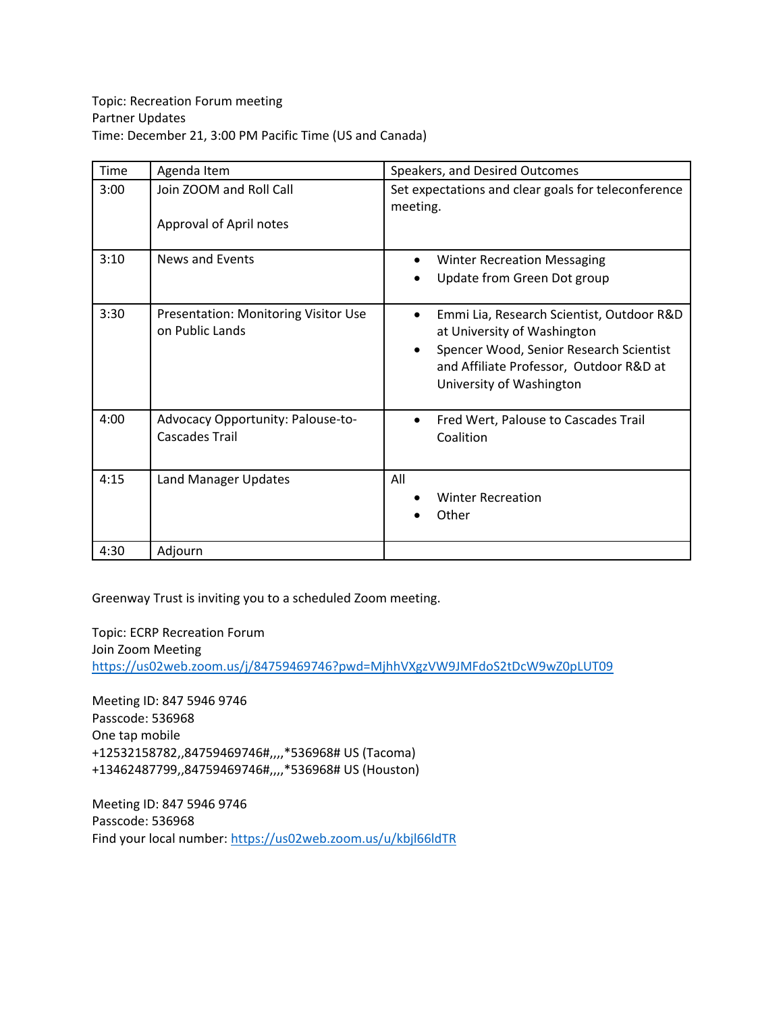| Time | Agenda Item                                                    | Speakers, and Desired Outcomes                                                                                                                                                                                       |
|------|----------------------------------------------------------------|----------------------------------------------------------------------------------------------------------------------------------------------------------------------------------------------------------------------|
| 3:00 | Join ZOOM and Roll Call<br>Approval of April notes             | Set expectations and clear goals for teleconference<br>meeting.                                                                                                                                                      |
| 3:10 | News and Events                                                | <b>Winter Recreation Messaging</b><br>$\bullet$<br>Update from Green Dot group                                                                                                                                       |
| 3:30 | <b>Presentation: Monitoring Visitor Use</b><br>on Public Lands | Emmi Lia, Research Scientist, Outdoor R&D<br>$\bullet$<br>at University of Washington<br>Spencer Wood, Senior Research Scientist<br>$\bullet$<br>and Affiliate Professor, Outdoor R&D at<br>University of Washington |
| 4:00 | Advocacy Opportunity: Palouse-to-<br>Cascades Trail            | Fred Wert, Palouse to Cascades Trail<br>$\bullet$<br>Coalition                                                                                                                                                       |
| 4:15 | <b>Land Manager Updates</b>                                    | All<br><b>Winter Recreation</b><br>Other                                                                                                                                                                             |
| 4:30 | Adjourn                                                        |                                                                                                                                                                                                                      |

Greenway Trust is inviting you to a scheduled Zoom meeting.

Topic: ECRP Recreation Forum Join Zoom Meeting <https://us02web.zoom.us/j/84759469746?pwd=MjhhVXgzVW9JMFdoS2tDcW9wZ0pLUT09>

Meeting ID: 847 5946 9746 Passcode: 536968 One tap mobile +12532158782,,84759469746#,,,,\*536968# US (Tacoma) +13462487799,,84759469746#,,,,\*536968# US (Houston)

Meeting ID: 847 5946 9746 Passcode: 536968 Find your local number[: https://us02web.zoom.us/u/kbjl66ldTR](https://us02web.zoom.us/u/kbjl66ldTR)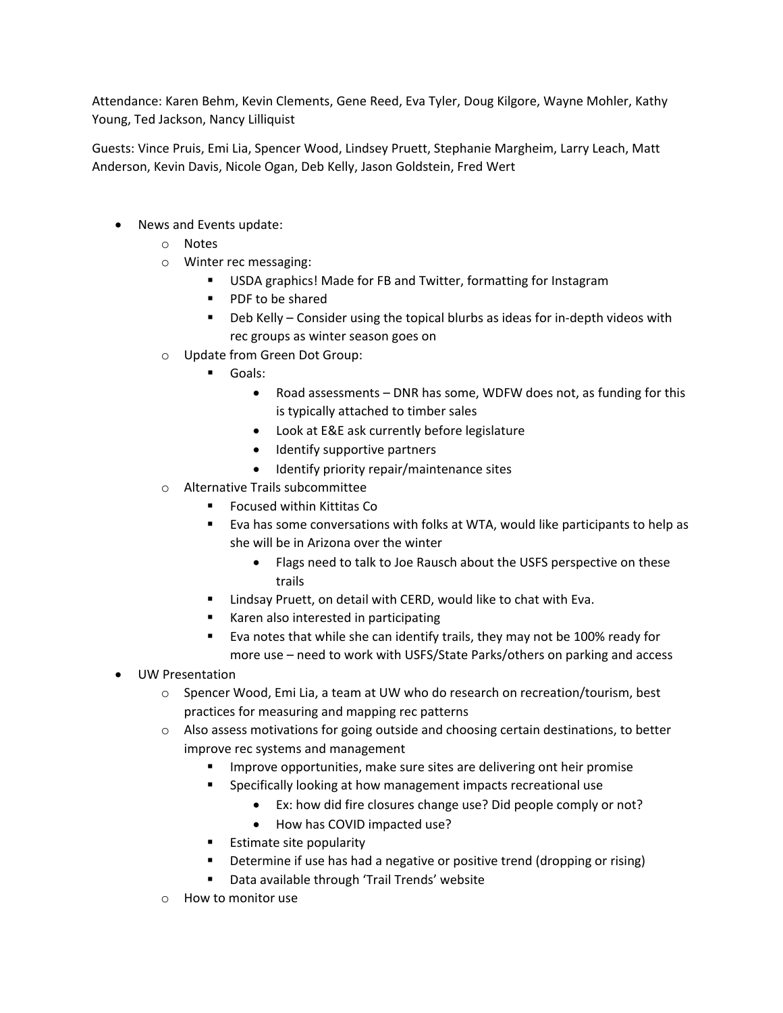Attendance: Karen Behm, Kevin Clements, Gene Reed, Eva Tyler, Doug Kilgore, Wayne Mohler, Kathy Young, Ted Jackson, Nancy Lilliquist

Guests: Vince Pruis, Emi Lia, Spencer Wood, Lindsey Pruett, Stephanie Margheim, Larry Leach, Matt Anderson, Kevin Davis, Nicole Ogan, Deb Kelly, Jason Goldstein, Fred Wert

- News and Events update:
	- o Notes
	- o Winter rec messaging:
		- USDA graphics! Made for FB and Twitter, formatting for Instagram
		- **PDF** to be shared
		- Deb Kelly Consider using the topical blurbs as ideas for in-depth videos with rec groups as winter season goes on
	- o Update from Green Dot Group:
		- Goals:
			- Road assessments DNR has some, WDFW does not, as funding for this is typically attached to timber sales
			- Look at E&E ask currently before legislature
			- Identify supportive partners
			- Identify priority repair/maintenance sites
	- o Alternative Trails subcommittee
		- Focused within Kittitas Co
		- Eva has some conversations with folks at WTA, would like participants to help as she will be in Arizona over the winter
			- Flags need to talk to Joe Rausch about the USFS perspective on these trails
		- **E** Lindsay Pruett, on detail with CERD, would like to chat with Eva.
		- **Karen also interested in participating**
		- **Evanotes that while she can identify trails, they may not be 100% ready for** more use – need to work with USFS/State Parks/others on parking and access
- UW Presentation
	- o Spencer Wood, Emi Lia, a team at UW who do research on recreation/tourism, best practices for measuring and mapping rec patterns
	- o Also assess motivations for going outside and choosing certain destinations, to better improve rec systems and management
		- Improve opportunities, make sure sites are delivering ont heir promise
		- Specifically looking at how management impacts recreational use
			- Ex: how did fire closures change use? Did people comply or not?
			- How has COVID impacted use?
		- **Estimate site popularity**
		- Determine if use has had a negative or positive trend (dropping or rising)
		- Data available through 'Trail Trends' website
	- o How to monitor use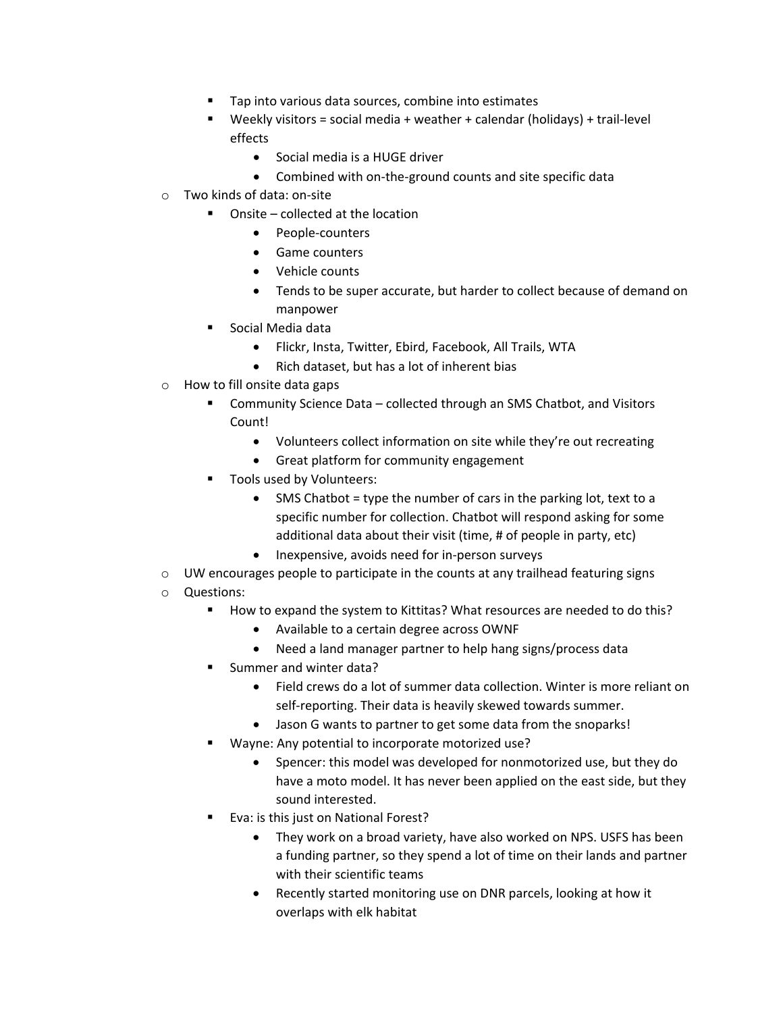- Tap into various data sources, combine into estimates
- Weekly visitors = social media + weather + calendar (holidays) + trail-level effects
	- Social media is a HUGE driver
	- Combined with on-the-ground counts and site specific data
- o Two kinds of data: on-site
	- Onsite collected at the location
		- People-counters
		- Game counters
		- Vehicle counts
		- Tends to be super accurate, but harder to collect because of demand on manpower
	- Social Media data
		- Flickr, Insta, Twitter, Ebird, Facebook, All Trails, WTA
		- Rich dataset, but has a lot of inherent bias
- o How to fill onsite data gaps
	- Community Science Data collected through an SMS Chatbot, and Visitors Count!
		- Volunteers collect information on site while they're out recreating
		- Great platform for community engagement
	- **Tools used by Volunteers:** 
		- SMS Chatbot = type the number of cars in the parking lot, text to a specific number for collection. Chatbot will respond asking for some additional data about their visit (time, # of people in party, etc)
		- Inexpensive, avoids need for in-person surveys
- $\circ$  UW encourages people to participate in the counts at any trailhead featuring signs
- o Questions:
	- How to expand the system to Kittitas? What resources are needed to do this?
		- Available to a certain degree across OWNF
		- Need a land manager partner to help hang signs/process data
	- Summer and winter data?
		- Field crews do a lot of summer data collection. Winter is more reliant on self-reporting. Their data is heavily skewed towards summer.
		- Jason G wants to partner to get some data from the snoparks!
	- Wayne: Any potential to incorporate motorized use?
		- Spencer: this model was developed for nonmotorized use, but they do have a moto model. It has never been applied on the east side, but they sound interested.
	- Eva: is this just on National Forest?
		- They work on a broad variety, have also worked on NPS. USFS has been a funding partner, so they spend a lot of time on their lands and partner with their scientific teams
		- Recently started monitoring use on DNR parcels, looking at how it overlaps with elk habitat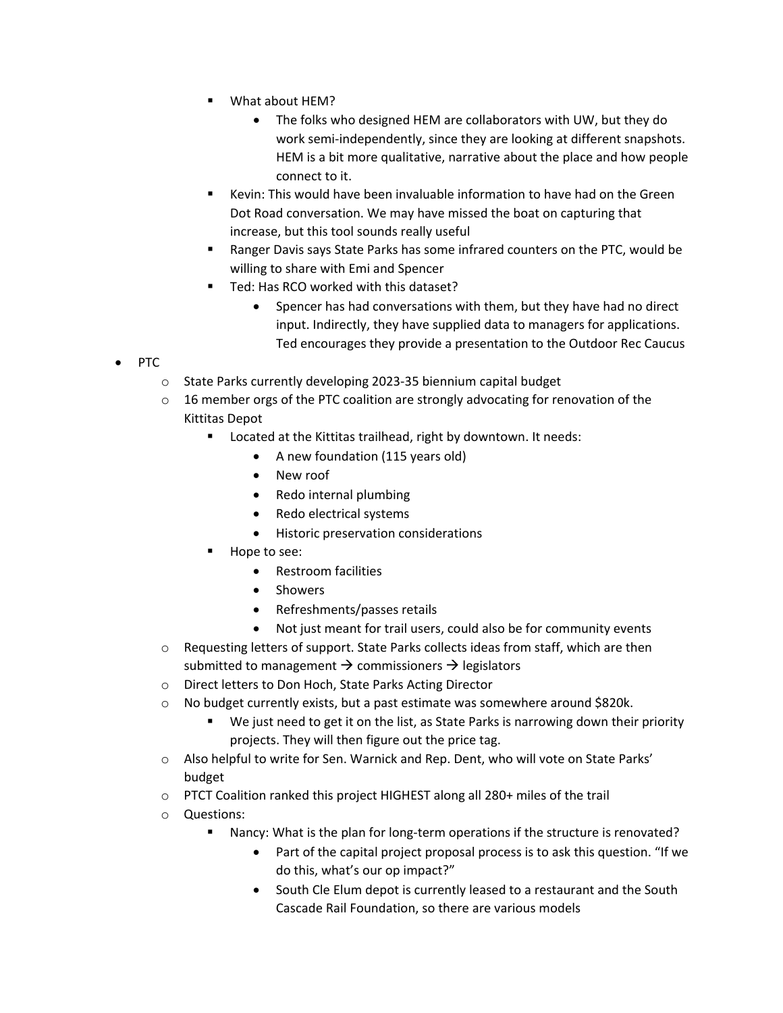- What about HEM?
	- The folks who designed HEM are collaborators with UW, but they do work semi-independently, since they are looking at different snapshots. HEM is a bit more qualitative, narrative about the place and how people connect to it.
- Kevin: This would have been invaluable information to have had on the Green Dot Road conversation. We may have missed the boat on capturing that increase, but this tool sounds really useful
- Ranger Davis says State Parks has some infrared counters on the PTC, would be willing to share with Emi and Spencer
- Ted: Has RCO worked with this dataset?
	- Spencer has had conversations with them, but they have had no direct input. Indirectly, they have supplied data to managers for applications. Ted encourages they provide a presentation to the Outdoor Rec Caucus
- PTC
	- o State Parks currently developing 2023-35 biennium capital budget
	- $\circ$  16 member orgs of the PTC coalition are strongly advocating for renovation of the Kittitas Depot
		- **EXEC** Located at the Kittitas trailhead, right by downtown. It needs:
			- A new foundation (115 years old)
			- New roof
			- Redo internal plumbing
			- Redo electrical systems
			- Historic preservation considerations
			- Hope to see:
				- Restroom facilities
				- Showers
				- Refreshments/passes retails
				- Not just meant for trail users, could also be for community events
	- o Requesting letters of support. State Parks collects ideas from staff, which are then submitted to management  $\rightarrow$  commissioners  $\rightarrow$  legislators
	- o Direct letters to Don Hoch, State Parks Acting Director
	- o No budget currently exists, but a past estimate was somewhere around \$820k.
		- We just need to get it on the list, as State Parks is narrowing down their priority projects. They will then figure out the price tag.
	- o Also helpful to write for Sen. Warnick and Rep. Dent, who will vote on State Parks' budget
	- o PTCT Coalition ranked this project HIGHEST along all 280+ miles of the trail
	- o Questions:
		- Nancy: What is the plan for long-term operations if the structure is renovated?
			- Part of the capital project proposal process is to ask this question. "If we do this, what's our op impact?"
			- South Cle Elum depot is currently leased to a restaurant and the South Cascade Rail Foundation, so there are various models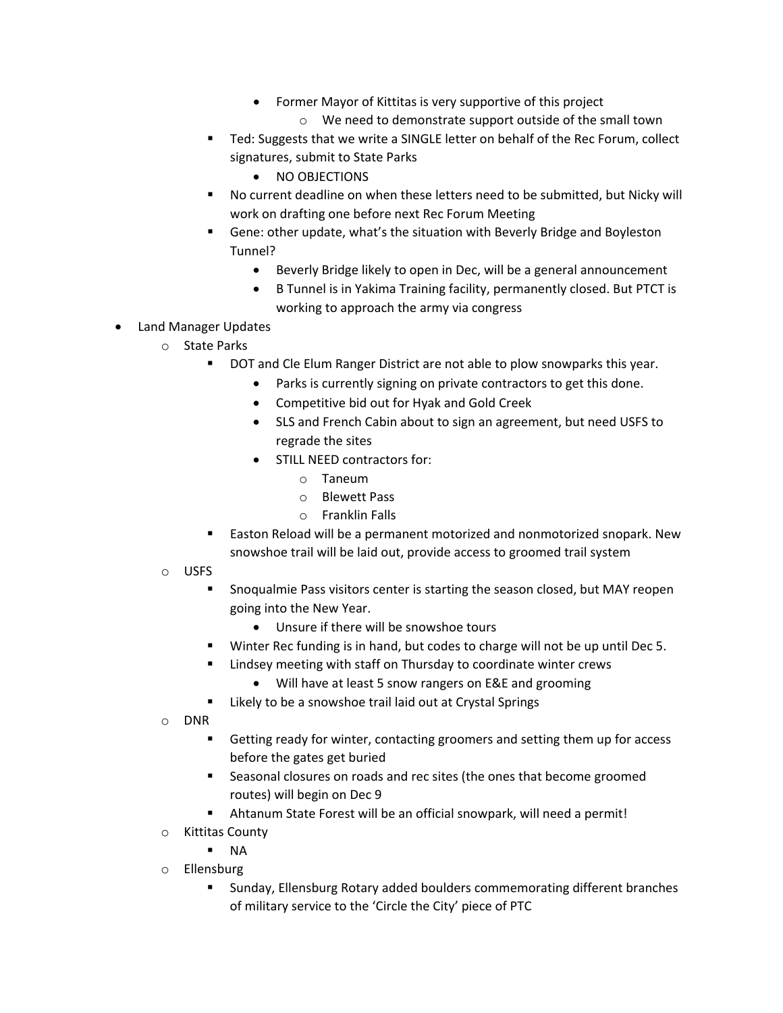- Former Mayor of Kittitas is very supportive of this project
	- o We need to demonstrate support outside of the small town
- **Ted: Suggests that we write a SINGLE letter on behalf of the Rec Forum, collect** signatures, submit to State Parks
	- NO OBJECTIONS
- No current deadline on when these letters need to be submitted, but Nicky will work on drafting one before next Rec Forum Meeting
- Gene: other update, what's the situation with Beverly Bridge and Boyleston Tunnel?
	- Beverly Bridge likely to open in Dec, will be a general announcement
	- B Tunnel is in Yakima Training facility, permanently closed. But PTCT is working to approach the army via congress
- Land Manager Updates
	- o State Parks
		- **DOT and Cle Elum Ranger District are not able to plow snowparks this year.** 
			- Parks is currently signing on private contractors to get this done.
			- Competitive bid out for Hyak and Gold Creek
			- SLS and French Cabin about to sign an agreement, but need USFS to regrade the sites
			- STILL NEED contractors for:
				- o Taneum
				- o Blewett Pass
				- o Franklin Falls
		- **Easton Reload will be a permanent motorized and nonmotorized snopark. New** snowshoe trail will be laid out, provide access to groomed trail system
	- o USFS
		- Snoqualmie Pass visitors center is starting the season closed, but MAY reopen going into the New Year.
			- Unsure if there will be snowshoe tours
		- Winter Rec funding is in hand, but codes to charge will not be up until Dec 5.
		- Lindsey meeting with staff on Thursday to coordinate winter crews
			- Will have at least 5 snow rangers on E&E and grooming
		- **EXECT** Likely to be a snowshoe trail laid out at Crystal Springs
	- o DNR
		- Getting ready for winter, contacting groomers and setting them up for access before the gates get buried
		- Seasonal closures on roads and rec sites (the ones that become groomed routes) will begin on Dec 9
		- Ahtanum State Forest will be an official snowpark, will need a permit!
	- o Kittitas County
		- $N_A$
	- o Ellensburg
		- Sunday, Ellensburg Rotary added boulders commemorating different branches of military service to the 'Circle the City' piece of PTC